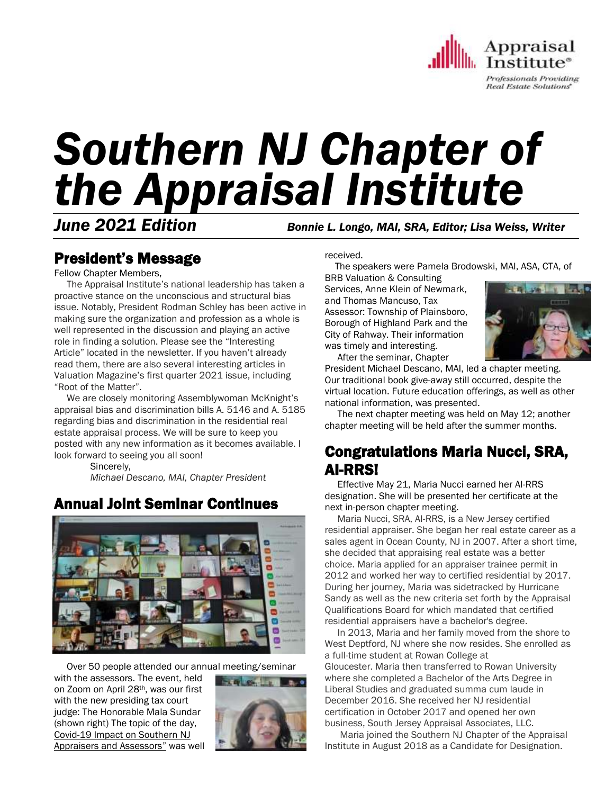

# *Southern NJ Chapter of the Appraisal Institute*

*June 2021 Edition Bonnie L. Longo, MAI, SRA, Editor; Lisa Weiss, Writer*

# President's Message

Fellow Chapter Members,

 The Appraisal Institute's national leadership has taken a proactive stance on the unconscious and structural bias issue. Notably, President Rodman Schley has been active in making sure the organization and profession as a whole is well represented in the discussion and playing an active role in finding a solution. Please see the "Interesting Article" located in the newsletter. If you haven't already read them, there are also several interesting articles in Valuation Magazine's first quarter 2021 issue, including "Root of the Matter".

 We are closely monitoring Assemblywoman McKnight's appraisal bias and discrimination bills A. 5146 and A. 5185 regarding bias and discrimination in the residential real estate appraisal process. We will be sure to keep you posted with any new information as it becomes available. I look forward to seeing you all soon!

> Sincerely, *Michael Descano, MAI, Chapter President*

## Annual Joint Seminar Continues



Over 50 people attended our annual meeting/seminar

with the assessors. The event, held on Zoom on April 28th, was our first with the new presiding tax court judge: The Honorable Mala Sundar (shown right) The topic of the day, Covid-19 Impact on Southern NJ Appraisers and Assessors" was well



received.

The speakers were Pamela Brodowski, MAI, ASA, CTA, of

BRB Valuation & Consulting Services, Anne Klein of Newmark, and Thomas Mancuso, Tax Assessor: Township of Plainsboro, Borough of Highland Park and the City of Rahway. Their information was timely and interesting. After the seminar, Chapter



President Michael Descano, MAI, led a chapter meeting. Our traditional book give-away still occurred, despite the virtual location. Future education offerings, as well as other national information, was presented.

 The next chapter meeting was held on May 12; another chapter meeting will be held after the summer months.

# Congratulations Maria Nucci, SRA, AI-RRS!

 Effective May 21, Maria Nucci earned her AI-RRS designation. She will be presented her certificate at the next in-person chapter meeting.

 Maria Nucci, SRA, AI-RRS, is a New Jersey certified residential appraiser. She began her real estate career as a sales agent in Ocean County, NJ in 2007. After a short time, she decided that appraising real estate was a better choice. Maria applied for an appraiser trainee permit in 2012 and worked her way to certified residential by 2017. During her journey, Maria was sidetracked by Hurricane Sandy as well as the new criteria set forth by the Appraisal Qualifications Board for which mandated that certified residential appraisers have a bachelor's degree.

 In 2013, Maria and her family moved from the shore to West Deptford, NJ where she now resides. She enrolled as a full-time student at Rowan College at Gloucester. Maria then transferred to Rowan University where she completed a Bachelor of the Arts Degree in Liberal Studies and graduated summa cum laude in December 2016. She received her NJ residential certification in October 2017 and opened her own business, South Jersey Appraisal Associates, LLC.

 Maria joined the Southern NJ Chapter of the Appraisal Institute in August 2018 as a Candidate for Designation.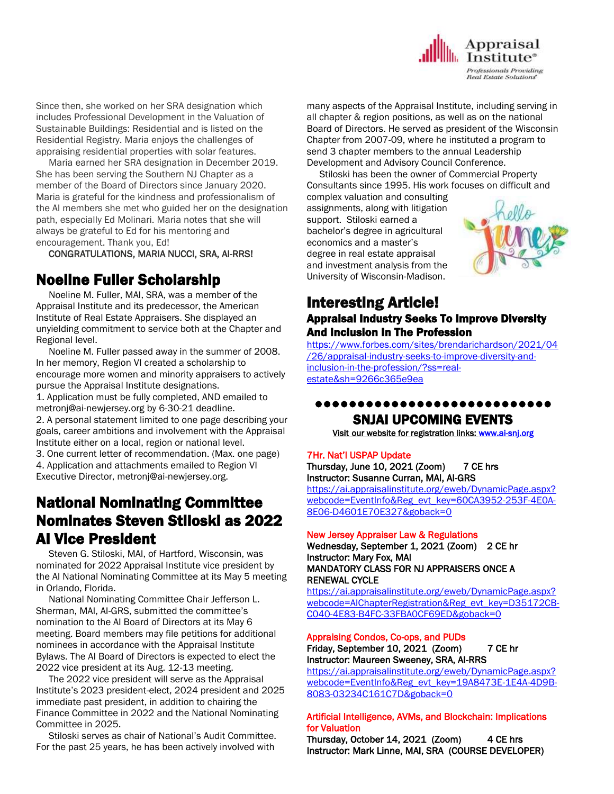

Since then, she worked on her SRA designation which includes Professional Development in the Valuation of Sustainable Buildings: Residential and is listed on the Residential Registry. Maria enjoys the challenges of appraising residential properties with solar features.

 Maria earned her SRA designation in December 2019. She has been serving the Southern NJ Chapter as a member of the Board of Directors since January 2020. Maria is grateful for the kindness and professionalism of the AI members she met who guided her on the designation path, especially Ed Molinari. Maria notes that she will always be grateful to Ed for his mentoring and encouragement. Thank you, Ed!

CONGRATULATIONS, MARIA NUCCI, SRA, AI-RRS!

## Noeline Fuller Scholarship

 Noeline M. Fuller, MAI, SRA, was a member of the Appraisal Institute and its predecessor, the American Institute of Real Estate Appraisers. She displayed an unyielding commitment to service both at the Chapter and Regional level.

 Noeline M. Fuller passed away in the summer of 2008. In her memory, Region VI created a scholarship to encourage more women and minority appraisers to actively pursue the Appraisal Institute designations.

1. Application must be fully completed, AND emailed to metronj@ai-newjersey.org by 6-30-21 deadline.

2. A personal statement limited to one page describing your goals, career ambitions and involvement with the Appraisal Institute either on a local, region or national level.

3. One current letter of recommendation. (Max. one page) 4. Application and attachments emailed to Region VI Executive Director, metronj@ai-newjersey.org.

# National Nominating Committee Nominates Steven Stiloski as 2022 AI Vice President

 Steven G. Stiloski, MAI, of Hartford, Wisconsin, was nominated for 2022 Appraisal Institute vice president by the AI National Nominating Committee at its May 5 meeting in Orlando, Florida.

 National Nominating Committee Chair Jefferson L. Sherman, MAI, AI-GRS, submitted the committee's nomination to the AI Board of Directors at its May 6 meeting. Board members may file petitions for additional nominees in accordance with the Appraisal Institute Bylaws. The AI Board of Directors is expected to elect the 2022 vice president at its Aug. 12-13 meeting.

 The 2022 vice president will serve as the Appraisal Institute's 2023 president-elect, 2024 president and 2025 immediate past president, in addition to chairing the Finance Committee in 2022 and the National Nominating Committee in 2025.

 Stiloski serves as chair of National's Audit Committee. For the past 25 years, he has been actively involved with many aspects of the Appraisal Institute, including serving in all chapter & region positions, as well as on the national Board of Directors. He served as president of the Wisconsin Chapter from 2007-09, where he instituted a program to send 3 chapter members to the annual Leadership Development and Advisory Council Conference.

 Stiloski has been the owner of Commercial Property Consultants since 1995. His work focuses on difficult and

complex valuation and consulting assignments, along with litigation support. Stiloski earned a bachelor's degree in agricultural economics and a master's degree in real estate appraisal and investment analysis from the University of Wisconsin-Madison.



## Interesting Article! Appraisal Industry Seeks To Improve Diversity

## And Inclusion In The Profession

[https://www.forbes.com/sites/brendarichardson/2021/04](https://www.forbes.com/sites/brendarichardson/2021/04/26/appraisal-industry-seeks-to-improve-diversity-and-inclusion-in-the-profession/?ss=real-estate&sh=9266c365e9ea) [/26/appraisal-industry-seeks-to-improve-diversity-and](https://www.forbes.com/sites/brendarichardson/2021/04/26/appraisal-industry-seeks-to-improve-diversity-and-inclusion-in-the-profession/?ss=real-estate&sh=9266c365e9ea)[inclusion-in-the-profession/?ss=real](https://www.forbes.com/sites/brendarichardson/2021/04/26/appraisal-industry-seeks-to-improve-diversity-and-inclusion-in-the-profession/?ss=real-estate&sh=9266c365e9ea)[estate&sh=9266c365e9ea](https://www.forbes.com/sites/brendarichardson/2021/04/26/appraisal-industry-seeks-to-improve-diversity-and-inclusion-in-the-profession/?ss=real-estate&sh=9266c365e9ea)

## ●●●●●●●●●●●●●●●●●●●●●●●●●●●● SNJAI UPCOMING EVENTS

[Visit](http://www.myappraisalinstitute.org/education/southernNewJersey) our website for registration links[: www.ai-snj.org](http://www.ai-snj.org/) 

#### 7Hr. Nat'l USPAP Update

Thursday, June 10, 2021 (Zoom) 7 CE hrs Instructor: Susanne Curran, MAI, AI-GRS

[https://ai.appraisalinstitute.org/eweb/DynamicPage.aspx?](https://ai.appraisalinstitute.org/eweb/DynamicPage.aspx?webcode=EventInfo&Reg_evt_key=60CA3952-253F-4E0A-8E06-D4601E70E327&goback=0) [webcode=EventInfo&Reg\\_evt\\_key=60CA3952-253F-4E0A-](https://ai.appraisalinstitute.org/eweb/DynamicPage.aspx?webcode=EventInfo&Reg_evt_key=60CA3952-253F-4E0A-8E06-D4601E70E327&goback=0)[8E06-D4601E70E327&goback=0](https://ai.appraisalinstitute.org/eweb/DynamicPage.aspx?webcode=EventInfo&Reg_evt_key=60CA3952-253F-4E0A-8E06-D4601E70E327&goback=0)

#### New Jersey Appraiser Law & Regulations

Wednesday, September 1, 2021 (Zoom) 2 CE hr Instructor: Mary Fox, MAI MANDATORY CLASS FOR NJ APPRAISERS ONCE A RENEWAL CYCLE

[https://ai.appraisalinstitute.org/eweb/DynamicPage.aspx?](https://ai.appraisalinstitute.org/eweb/DynamicPage.aspx?webcode=AIChapterRegistration&Reg_evt_key=D35172CB-C040-4E83-B4FC-33FBA0CF69ED&goback=0) [webcode=AIChapterRegistration&Reg\\_evt\\_key=D35172CB-](https://ai.appraisalinstitute.org/eweb/DynamicPage.aspx?webcode=AIChapterRegistration&Reg_evt_key=D35172CB-C040-4E83-B4FC-33FBA0CF69ED&goback=0)[C040-4E83-B4FC-33FBA0CF69ED&goback=0](https://ai.appraisalinstitute.org/eweb/DynamicPage.aspx?webcode=AIChapterRegistration&Reg_evt_key=D35172CB-C040-4E83-B4FC-33FBA0CF69ED&goback=0)

#### Appraising Condos, Co-ops, and PUDs

Friday, September 10, 2021 (Zoom) 7 CE hr Instructor: Maureen Sweeney, SRA, AI-RRS

[https://ai.appraisalinstitute.org/eweb/DynamicPage.aspx?](https://ai.appraisalinstitute.org/eweb/DynamicPage.aspx?webcode=EventInfo&Reg_evt_key=19A8473E-1E4A-4D9B-8083-03234C161C7D&goback=0) [webcode=EventInfo&Reg\\_evt\\_key=19A8473E-1E4A-4D9B-](https://ai.appraisalinstitute.org/eweb/DynamicPage.aspx?webcode=EventInfo&Reg_evt_key=19A8473E-1E4A-4D9B-8083-03234C161C7D&goback=0)[8083-03234C161C7D&goback=0](https://ai.appraisalinstitute.org/eweb/DynamicPage.aspx?webcode=EventInfo&Reg_evt_key=19A8473E-1E4A-4D9B-8083-03234C161C7D&goback=0)

#### Artificial Intelligence, AVMs, and Blockchain: Implications for Valuation

Thursday, October 14, 2021 (Zoom) 4 CE hrs Instructor: Mark Linne, MAI, SRA (COURSE DEVELOPER)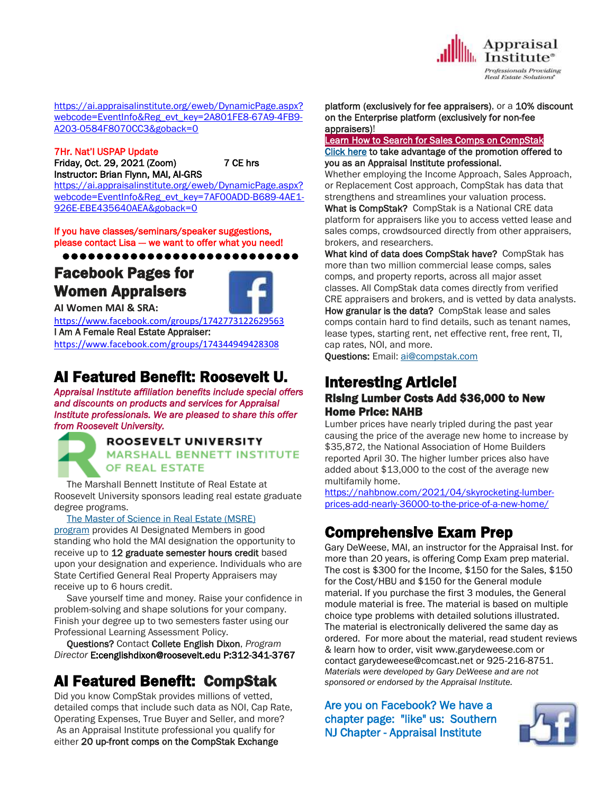

[https://ai.appraisalinstitute.org/eweb/DynamicPage.aspx?](https://ai.appraisalinstitute.org/eweb/DynamicPage.aspx?webcode=EventInfo&Reg_evt_key=2A801FE8-67A9-4FB9-A203-0584F8070CC3&goback=0) [webcode=EventInfo&Reg\\_evt\\_key=2A801FE8-67A9-4FB9-](https://ai.appraisalinstitute.org/eweb/DynamicPage.aspx?webcode=EventInfo&Reg_evt_key=2A801FE8-67A9-4FB9-A203-0584F8070CC3&goback=0) [A203-0584F8070CC3&goback=0](https://ai.appraisalinstitute.org/eweb/DynamicPage.aspx?webcode=EventInfo&Reg_evt_key=2A801FE8-67A9-4FB9-A203-0584F8070CC3&goback=0)

7Hr. Nat'l USPAP Update Friday, Oct. 29, 2021 (Zoom) 7 CE hrs Instructor: Brian Flynn, MAI, AI-GRS [https://ai.appraisalinstitute.org/eweb/DynamicPage.aspx?](https://ai.appraisalinstitute.org/eweb/DynamicPage.aspx?webcode=EventInfo&Reg_evt_key=7AF00ADD-B689-4AE1-926E-EBE435640AEA&goback=0)

[webcode=EventInfo&Reg\\_evt\\_key=7AF00ADD-B689-4AE1-](https://ai.appraisalinstitute.org/eweb/DynamicPage.aspx?webcode=EventInfo&Reg_evt_key=7AF00ADD-B689-4AE1-926E-EBE435640AEA&goback=0) [926E-EBE435640AEA&goback=0](https://ai.appraisalinstitute.org/eweb/DynamicPage.aspx?webcode=EventInfo&Reg_evt_key=7AF00ADD-B689-4AE1-926E-EBE435640AEA&goback=0)

If you have classes/seminars/speaker suggestions, please contact Lisa -- we want to offer what you need!

●●●●●●●●●●●●●●●●●●●●●●●●●●●●

# Facebook Pages for Women Appraisers



**AI Women MAI & SRA:** 

<https://www.facebook.com/groups/1742773122629563> I Am A Female Real Estate Appraiser: <https://www.facebook.com/groups/174344949428308>

# AI Featured Benefit: Roosevelt U.

*Appraisal Institute affiliation benefits include special offers and discounts on products and services for Appraisal Institute professionals. We are pleased to share this offer from Roosevelt University.*

## ROOSEVELT UNIVERSITY **MARSHALL BENNETT INSTITUTE** OF REAL ESTATE

 The Marshall Bennett Institute of Real Estate at Roosevelt University sponsors leading real estate graduate degree programs.

The Master of [Science](http://send.appraisalinstitute.org/link.cfm?r=vwtD93oHHyUAMd-FHE_JHA~~&pe=8Rlr3VdVaVnxfFsNeHNZAHKJBh0QzP67ndzTPlQPfF5s7LYK-TJM1iW_z8bAH4Nwj8t6XoPJmIL0ltZwNHPNzg~~&t=z7zfajEjnsqNItj8YtCfgg~~) in Real Estate (MSRE)

[program](http://send.appraisalinstitute.org/link.cfm?r=vwtD93oHHyUAMd-FHE_JHA~~&pe=8Rlr3VdVaVnxfFsNeHNZAHKJBh0QzP67ndzTPlQPfF5s7LYK-TJM1iW_z8bAH4Nwj8t6XoPJmIL0ltZwNHPNzg~~&t=z7zfajEjnsqNItj8YtCfgg~~) provides AI Designated Members in good standing who hold the MAI designation the opportunity to receive up to 12 graduate semester hours credit based upon your designation and experience. Individuals who are State Certified General Real Property Appraisers may receive up to 6 hours credit.

 Save yourself time and money. Raise your confidence in problem-solving and shape solutions for your company. Finish your degree up to two semesters faster using our Professional Learning Assessment Policy.

 Questions? Contact Collete English Dixon, *Program Director* E:cenglishdixon@roosevelt.edu P:312-341-3767

# AI Featured Benefit: CompStak

Did you know CompStak provides millions of vetted, detailed comps that include such data as NOI, Cap Rate, Operating Expenses, True Buyer and Seller, and more? As an Appraisal Institute professional you qualify for either 20 up-front comps on the CompStak Exchange

## platform (exclusively for fee appraisers), or a 10% discount on the Enterprise platform (exclusively for non-fee appraisers)!

#### [Learn How to Search for Sales Comps on CompStak](http://send.appraisalinstitute.org/link.cfm?r=vwtD93oHHyUAMd-FHE_JHA~~&pe=oHa0BO31PLbPU1xiWyBebdXa3bnKU93I6jU7jgtcMNp7Ni6BGzU3nbQvKSeLA4QxVboihMVFmyVrd8Hm0zshLQ~~&t=-Q4qDgf9h2lth2a58Z5LGQ~~) [Click here](http://send.appraisalinstitute.org/link.cfm?r=vwtD93oHHyUAMd-FHE_JHA~~&pe=9OhkSj1xPhkLNxZhKNyw0cWhSgUvp22zIwc13Bu42eHtr1mNYsdMxLoCFS0xfthe6K_oJOqu1sr-0_nZryuzdw~~&t=-Q4qDgf9h2lth2a58Z5LGQ~~) to take advantage of the promotion offered to you as an Appraisal Institute professional.

Whether employing the Income Approach, Sales Approach, or Replacement Cost approach, CompStak has data that strengthens and streamlines your valuation process.

What is CompStak? CompStak is a National CRE data platform for appraisers like you to access vetted lease and sales comps, crowdsourced directly from other appraisers, brokers, and researchers.

What kind of data does CompStak have? CompStak has more than two million commercial lease comps, sales comps, and property reports, across all major asset classes. All CompStak data comes directly from verified CRE appraisers and brokers, and is vetted by data analysts. How granular is the data? CompStak lease and sales

comps contain hard to find details, such as tenant names, lease types, starting rent, net effective rent, free rent, TI, cap rates, NOI, and more.

Questions: Email: [ai@compstak.com](mailto:ai@compstak.com)

# Interesting Article!

## Rising Lumber Costs Add \$36,000 to New Home Price: NAHB

Lumber prices have nearly tripled during the past year causing the price of the average new home to increase by \$35,872, the National Association of Home Builders reported April 30. The higher lumber prices also have added about \$13,000 to the cost of the average new multifamily home.

[https://nahbnow.com/2021/04/skyrocketing-lumber](https://nahbnow.com/2021/04/skyrocketing-lumber-prices-add-nearly-36000-to-the-price-of-a-new-home/)[prices-add-nearly-36000-to-the-price-of-a-new-home/](https://nahbnow.com/2021/04/skyrocketing-lumber-prices-add-nearly-36000-to-the-price-of-a-new-home/)

# Comprehensive Exam Prep

Gary DeWeese, MAI, an instructor for the Appraisal Inst. for more than 20 years, is offering Comp Exam prep material. The cost is \$300 for the Income, \$150 for the Sales, \$150 for the Cost/HBU and \$150 for the General module material. If you purchase the first 3 modules, the General module material is free. The material is based on multiple choice type problems with detailed solutions illustrated. The material is electronically delivered the same day as ordered. For more about the material, read student reviews & learn how to order, visit www.garydeweese.com or contact garydeweese@comcast.net or 925-216-8751. *Materials were developed by Gary DeWeese and are not sponsored or endorsed by the Appraisal Institute.*

Are you on Facebook? We have a chapter page: "like" us: Southern NJ Chapter - Appraisal Institute

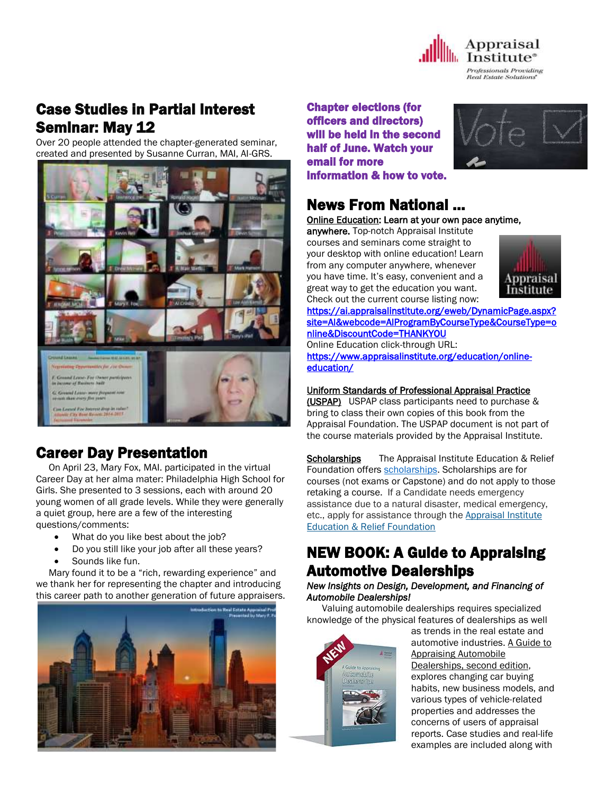

Real Estate Solutions

# Case Studies in Partial Interest Seminar: May 12

Over 20 people attended the chapter-generated seminar, created and presented by Susanne Curran, MAI, AI-GRS.



# Career Day Presentation

 On April 23, Mary Fox, MAI. participated in the virtual Career Day at her alma mater: Philadelphia High School for Girls. She presented to 3 sessions, each with around 20 young women of all grade levels. While they were generally a quiet group, here are a few of the interesting questions/comments:

- What do you like best about the job?
- Do you still like your job after all these years?
- Sounds like fun.

Ī

 Mary found it to be a "rich, rewarding experience" and we thank her for representing the chapter and introducing this career path to another generation of future appraisers.



Chapter elections (for officers and directors) will be held in the second half of June. Watch your email for more information & how to vote.



## News From National …

[Online Education:](http://www.mmsend50.com/ls.cfm?r=99596491&sid=8974475&m=957997&u=Appraise&s=http://www.appraisalinstitute.org/online) Learn at your own pace anytime,

anywhere. Top-notch Appraisal Institute courses and seminars come straight to your desktop with online education! Learn from any computer anywhere, whenever you have time. It's easy, convenient and a great way to get the education you want. Check out the current course listing now:



[https://ai.appraisalinstitute.org/eweb/DynamicPage.aspx?](https://ai.appraisalinstitute.org/eweb/DynamicPage.aspx?site=AI&webcode=AIProgramByCourseType&CourseType=online&DiscountCode=THANKYOU) [site=AI&webcode=AIProgramByCourseType&CourseType=o](https://ai.appraisalinstitute.org/eweb/DynamicPage.aspx?site=AI&webcode=AIProgramByCourseType&CourseType=online&DiscountCode=THANKYOU) [nline&DiscountCode=THANKYOU](https://ai.appraisalinstitute.org/eweb/DynamicPage.aspx?site=AI&webcode=AIProgramByCourseType&CourseType=online&DiscountCode=THANKYOU) 

Online Education click-through URL:

[https://www.appraisalinstitute.org/education/online](https://www.appraisalinstitute.org/education/online-education/)[education/](https://www.appraisalinstitute.org/education/online-education/) 

## Uniform Standards of Professional Appraisal Practice

(USPAP) USPAP class participants need to purchase & bring to class their own copies of this book from the Appraisal Foundation. The USPAP document is not part of the course materials provided by the Appraisal Institute.

Scholarships The Appraisal Institute Education & Relief Foundation offers [scholarships.](http://send.appraisalinstitute.org/link.cfm?r=TyxXOooBFM-9kcaVyjABIA~~&pe=k_y06NsR9-tB3atEDYdXWLTTqBM_H3aeIPclU_7mx0sd29sU_T_sOiJTIa3747wAJXWGK_wLmsw-M82swC-Ijw~~&t=jouIQRRPlOfDkLqJe5AmNA~~) Scholarships are for courses (not exams or Capstone) and do not apply to those retaking a course. If a Candidate needs emergency assistance due to a natural disaster, medical emergency, etc., apply for assistance through the Appraisal Institute Education & Relief Foundation

# NEW BOOK: A Guide to Appraising Automotive Dealerships

## *New Insights on Design, Development, and Financing of Automobile Dealerships!*

 Valuing automobile dealerships requires specialized knowledge of the physical features of dealerships as well



as trends in the real estate and automotive industries. A Guide to Appraising Automobile Dealerships, second edition, explores changing car buying habits, new business models, and various types of vehicle-related properties and addresses the concerns of users of appraisal reports. Case studies and real-life examples are included along with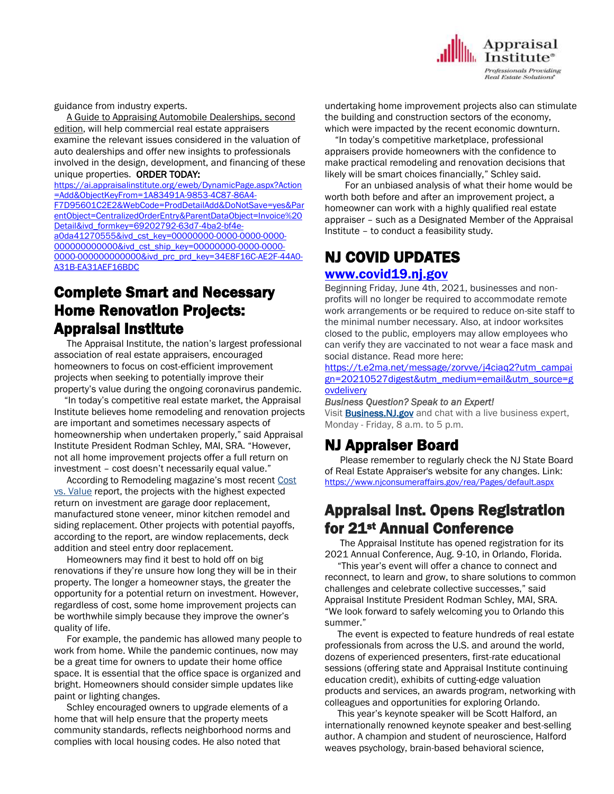Appraisal **Institute**<sup>®</sup> **Professionals Providing Real Estate Solutions** 

guidance from industry experts.

 A Guide to Appraising Automobile Dealerships, second edition, will help commercial real estate appraisers examine the relevant issues considered in the valuation of auto dealerships and offer new insights to professionals involved in the design, development, and financing of these unique properties. ORDER TODAY:

[https://ai.appraisalinstitute.org/eweb/DynamicPage.aspx?Action](https://ai.appraisalinstitute.org/eweb/DynamicPage.aspx?Action=Add&ObjectKeyFrom=1A83491A-9853-4C87-86A4-F7D95601C2E2&WebCode=ProdDetailAdd&DoNotSave=yes&ParentObject=CentralizedOrderEntry&ParentDataObject=Invoice%20Detail&ivd_formkey=69202792-63d7-4ba2-bf4e-a0da41270555&ivd_cst_key=00000000-0000-0000-0000-000000000000&ivd_cst_ship_key=00000000-0000-0000-0000-000000000000&ivd_prc_prd_key=34E8F16C-AE2F-44A0-A31B-EA31AEF16BDC) [=Add&ObjectKeyFrom=1A83491A-9853-4C87-86A4-](https://ai.appraisalinstitute.org/eweb/DynamicPage.aspx?Action=Add&ObjectKeyFrom=1A83491A-9853-4C87-86A4-F7D95601C2E2&WebCode=ProdDetailAdd&DoNotSave=yes&ParentObject=CentralizedOrderEntry&ParentDataObject=Invoice%20Detail&ivd_formkey=69202792-63d7-4ba2-bf4e-a0da41270555&ivd_cst_key=00000000-0000-0000-0000-000000000000&ivd_cst_ship_key=00000000-0000-0000-0000-000000000000&ivd_prc_prd_key=34E8F16C-AE2F-44A0-A31B-EA31AEF16BDC) [F7D95601C2E2&WebCode=ProdDetailAdd&DoNotSave=yes&Par](https://ai.appraisalinstitute.org/eweb/DynamicPage.aspx?Action=Add&ObjectKeyFrom=1A83491A-9853-4C87-86A4-F7D95601C2E2&WebCode=ProdDetailAdd&DoNotSave=yes&ParentObject=CentralizedOrderEntry&ParentDataObject=Invoice%20Detail&ivd_formkey=69202792-63d7-4ba2-bf4e-a0da41270555&ivd_cst_key=00000000-0000-0000-0000-000000000000&ivd_cst_ship_key=00000000-0000-0000-0000-000000000000&ivd_prc_prd_key=34E8F16C-AE2F-44A0-A31B-EA31AEF16BDC) [entObject=CentralizedOrderEntry&ParentDataObject=Invoice%20](https://ai.appraisalinstitute.org/eweb/DynamicPage.aspx?Action=Add&ObjectKeyFrom=1A83491A-9853-4C87-86A4-F7D95601C2E2&WebCode=ProdDetailAdd&DoNotSave=yes&ParentObject=CentralizedOrderEntry&ParentDataObject=Invoice%20Detail&ivd_formkey=69202792-63d7-4ba2-bf4e-a0da41270555&ivd_cst_key=00000000-0000-0000-0000-000000000000&ivd_cst_ship_key=00000000-0000-0000-0000-000000000000&ivd_prc_prd_key=34E8F16C-AE2F-44A0-A31B-EA31AEF16BDC) [Detail&ivd\\_formkey=69202792-63d7-4ba2-bf4e](https://ai.appraisalinstitute.org/eweb/DynamicPage.aspx?Action=Add&ObjectKeyFrom=1A83491A-9853-4C87-86A4-F7D95601C2E2&WebCode=ProdDetailAdd&DoNotSave=yes&ParentObject=CentralizedOrderEntry&ParentDataObject=Invoice%20Detail&ivd_formkey=69202792-63d7-4ba2-bf4e-a0da41270555&ivd_cst_key=00000000-0000-0000-0000-000000000000&ivd_cst_ship_key=00000000-0000-0000-0000-000000000000&ivd_prc_prd_key=34E8F16C-AE2F-44A0-A31B-EA31AEF16BDC)[a0da41270555&ivd\\_cst\\_key=00000000-0000-0000-0000-](https://ai.appraisalinstitute.org/eweb/DynamicPage.aspx?Action=Add&ObjectKeyFrom=1A83491A-9853-4C87-86A4-F7D95601C2E2&WebCode=ProdDetailAdd&DoNotSave=yes&ParentObject=CentralizedOrderEntry&ParentDataObject=Invoice%20Detail&ivd_formkey=69202792-63d7-4ba2-bf4e-a0da41270555&ivd_cst_key=00000000-0000-0000-0000-000000000000&ivd_cst_ship_key=00000000-0000-0000-0000-000000000000&ivd_prc_prd_key=34E8F16C-AE2F-44A0-A31B-EA31AEF16BDC) 000000000000000 cst\_ship\_key=00000000-0000-0000-[0000-000000000000&ivd\\_prc\\_prd\\_key=34E8F16C-AE2F-44A0-](https://ai.appraisalinstitute.org/eweb/DynamicPage.aspx?Action=Add&ObjectKeyFrom=1A83491A-9853-4C87-86A4-F7D95601C2E2&WebCode=ProdDetailAdd&DoNotSave=yes&ParentObject=CentralizedOrderEntry&ParentDataObject=Invoice%20Detail&ivd_formkey=69202792-63d7-4ba2-bf4e-a0da41270555&ivd_cst_key=00000000-0000-0000-0000-000000000000&ivd_cst_ship_key=00000000-0000-0000-0000-000000000000&ivd_prc_prd_key=34E8F16C-AE2F-44A0-A31B-EA31AEF16BDC) [A31B-EA31AEF16BDC](https://ai.appraisalinstitute.org/eweb/DynamicPage.aspx?Action=Add&ObjectKeyFrom=1A83491A-9853-4C87-86A4-F7D95601C2E2&WebCode=ProdDetailAdd&DoNotSave=yes&ParentObject=CentralizedOrderEntry&ParentDataObject=Invoice%20Detail&ivd_formkey=69202792-63d7-4ba2-bf4e-a0da41270555&ivd_cst_key=00000000-0000-0000-0000-000000000000&ivd_cst_ship_key=00000000-0000-0000-0000-000000000000&ivd_prc_prd_key=34E8F16C-AE2F-44A0-A31B-EA31AEF16BDC)

## Complete Smart and Necessary Home Renovation Projects: Appraisal Institute

 The Appraisal Institute, the nation's largest professional association of real estate appraisers, encouraged homeowners to focus on cost-efficient improvement projects when seeking to potentially improve their property's value during the ongoing coronavirus pandemic.

 "In today's competitive real estate market, the Appraisal Institute believes home remodeling and renovation projects are important and sometimes necessary aspects of homeownership when undertaken properly," said Appraisal Institute President Rodman Schley, MAI, SRA. "However, not all home improvement projects offer a full return on investment – cost doesn't necessarily equal value."

According to Remodeling magazine's most recent Cost [vs. Value](https://www.remodeling.hw.net/cost-vs-value/2021/boise-id/) report, the projects with the highest expected return on investment are garage door replacement, manufactured stone veneer, minor kitchen remodel and siding replacement. Other projects with potential payoffs, according to the report, are window replacements, deck addition and steel entry door replacement.

 Homeowners may find it best to hold off on big renovations if they're unsure how long they will be in their property. The longer a homeowner stays, the greater the opportunity for a potential return on investment. However, regardless of cost, some home improvement projects can be worthwhile simply because they improve the owner's quality of life.

 For example, the pandemic has allowed many people to work from home. While the pandemic continues, now may be a great time for owners to update their home office space. It is essential that the office space is organized and bright. Homeowners should consider simple updates like paint or lighting changes.

 Schley encouraged owners to upgrade elements of a home that will help ensure that the property meets community standards, reflects neighborhood norms and complies with local housing codes. He also noted that

undertaking home improvement projects also can stimulate the building and construction sectors of the economy, which were impacted by the recent economic downturn.

 "In today's competitive marketplace, professional appraisers provide homeowners with the confidence to make practical remodeling and renovation decisions that likely will be smart choices financially," Schley said.

 For an unbiased analysis of what their home would be worth both before and after an improvement project, a homeowner can work with a highly qualified real estate appraiser – such as a Designated Member of the Appraisal Institute – to conduct a feasibility study.

# NJ COVID UPDATES

## [www.covid19.nj.gov](http://www.covid19.nj.gov/)

Beginning Friday, June 4th, 2021, businesses and nonprofits will no longer be required to accommodate remote work arrangements or be required to reduce on-site staff to the minimal number necessary. Also, at indoor worksites closed to the public, employers may allow employees who can verify they are vaccinated to not wear a face mask and social distance. Read more here:

[https://t.e2ma.net/message/zorvve/j4ciaq2?utm\\_campai](https://t.e2ma.net/message/zorvve/j4ciaq2?utm_campaign=20210527digest&utm_medium=email&utm_source=govdelivery) [gn=20210527digest&utm\\_medium=email&utm\\_source=g](https://t.e2ma.net/message/zorvve/j4ciaq2?utm_campaign=20210527digest&utm_medium=email&utm_source=govdelivery) **[ovdelivery](https://t.e2ma.net/message/zorvve/j4ciaq2?utm_campaign=20210527digest&utm_medium=email&utm_source=govdelivery)** 

#### *Business Question? Speak to an Expert!*

Visit **[Business.NJ.gov](https://lnks.gd/l/eyJhbGciOiJIUzI1NiJ9.eyJidWxsZXRpbl9saW5rX2lkIjoxMzMsInVyaSI6ImJwMjpjbGljayIsImJ1bGxldGluX2lkIjoiMjAyMTA1MjcuNDExODg3NDEiLCJ1cmwiOiJodHRwczovL2J1c2luZXNzLm5qLmdvdi8_dXRtX2NhbXBhaWduPTIwMjEwNTI3ZGlnZXN0JnV0bV9tZWRpdW09ZW1haWwmdXRtX3NvdXJjZT1nb3ZkZWxpdmVyeSJ9.x4xzdq_JYSUnF-uRDlcDNVqYx0MJ7pqyrrw9dlIurkA/s/1365733730/br/107095382009-l)** and chat with a live business expert, Monday - Friday, 8 a.m. to 5 p.m.

## NJ Appraiser Board

 Please remember to regularly check the NJ State Board of Real Estate Appraiser's website for any changes. Link: <https://www.njconsumeraffairs.gov/rea/Pages/default.aspx>

## Appraisal Inst. Opens Registration for 21<sup>st</sup> Annual Conference

 The Appraisal Institute has opened registration for its 2021 Annual Conference, Aug. 9-10, in Orlando, Florida.

 "This year's event will offer a chance to connect and reconnect, to learn and grow, to share solutions to common challenges and celebrate collective successes," said Appraisal Institute President Rodman Schley, MAI, SRA. "We look forward to safely welcoming you to Orlando this summer."

 The event is expected to feature hundreds of real estate professionals from across the U.S. and around the world, dozens of experienced presenters, first-rate educational sessions (offering state and Appraisal Institute continuing education credit), exhibits of cutting-edge valuation products and services, an awards program, networking with colleagues and opportunities for exploring Orlando.

 This year's keynote speaker will be Scott Halford, an internationally renowned keynote speaker and best-selling author. A champion and student of neuroscience, Halford weaves psychology, brain-based behavioral science,